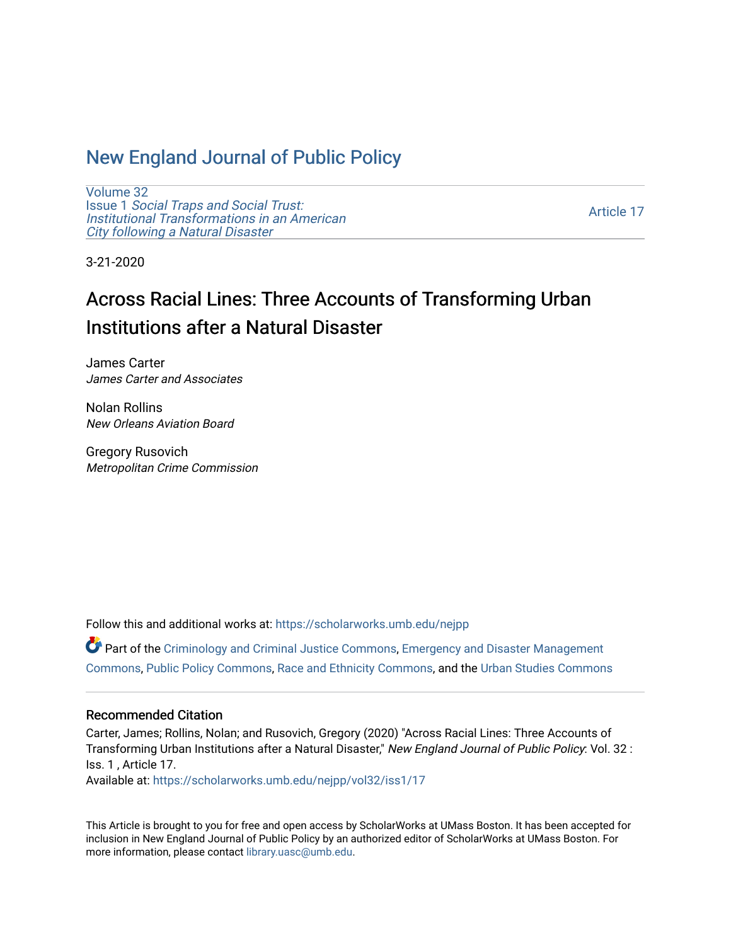## [New England Journal of Public Policy](https://scholarworks.umb.edu/nejpp)

[Volume 32](https://scholarworks.umb.edu/nejpp/vol32) Issue 1 [Social Traps and Social Trust:](https://scholarworks.umb.edu/nejpp/vol32/iss1) [Institutional Transformations in an American](https://scholarworks.umb.edu/nejpp/vol32/iss1)  [City following a Natural Disaster](https://scholarworks.umb.edu/nejpp/vol32/iss1)

[Article 17](https://scholarworks.umb.edu/nejpp/vol32/iss1/17) 

3-21-2020

# Across Racial Lines: Three Accounts of Transforming Urban Institutions after a Natural Disaster

James Carter James Carter and Associates

Nolan Rollins New Orleans Aviation Board

Gregory Rusovich Metropolitan Crime Commission

Follow this and additional works at: [https://scholarworks.umb.edu/nejpp](https://scholarworks.umb.edu/nejpp?utm_source=scholarworks.umb.edu%2Fnejpp%2Fvol32%2Fiss1%2F17&utm_medium=PDF&utm_campaign=PDFCoverPages)

Part of the [Criminology and Criminal Justice Commons](http://network.bepress.com/hgg/discipline/367?utm_source=scholarworks.umb.edu%2Fnejpp%2Fvol32%2Fiss1%2F17&utm_medium=PDF&utm_campaign=PDFCoverPages), [Emergency and Disaster Management](http://network.bepress.com/hgg/discipline/1321?utm_source=scholarworks.umb.edu%2Fnejpp%2Fvol32%2Fiss1%2F17&utm_medium=PDF&utm_campaign=PDFCoverPages)  [Commons](http://network.bepress.com/hgg/discipline/1321?utm_source=scholarworks.umb.edu%2Fnejpp%2Fvol32%2Fiss1%2F17&utm_medium=PDF&utm_campaign=PDFCoverPages), [Public Policy Commons,](http://network.bepress.com/hgg/discipline/400?utm_source=scholarworks.umb.edu%2Fnejpp%2Fvol32%2Fiss1%2F17&utm_medium=PDF&utm_campaign=PDFCoverPages) [Race and Ethnicity Commons,](http://network.bepress.com/hgg/discipline/426?utm_source=scholarworks.umb.edu%2Fnejpp%2Fvol32%2Fiss1%2F17&utm_medium=PDF&utm_campaign=PDFCoverPages) and the [Urban Studies Commons](http://network.bepress.com/hgg/discipline/402?utm_source=scholarworks.umb.edu%2Fnejpp%2Fvol32%2Fiss1%2F17&utm_medium=PDF&utm_campaign=PDFCoverPages)

#### Recommended Citation

Carter, James; Rollins, Nolan; and Rusovich, Gregory (2020) "Across Racial Lines: Three Accounts of Transforming Urban Institutions after a Natural Disaster," New England Journal of Public Policy: Vol. 32 : Iss. 1 , Article 17.

Available at: [https://scholarworks.umb.edu/nejpp/vol32/iss1/17](https://scholarworks.umb.edu/nejpp/vol32/iss1/17?utm_source=scholarworks.umb.edu%2Fnejpp%2Fvol32%2Fiss1%2F17&utm_medium=PDF&utm_campaign=PDFCoverPages) 

This Article is brought to you for free and open access by ScholarWorks at UMass Boston. It has been accepted for inclusion in New England Journal of Public Policy by an authorized editor of ScholarWorks at UMass Boston. For more information, please contact [library.uasc@umb.edu](mailto:library.uasc@umb.edu).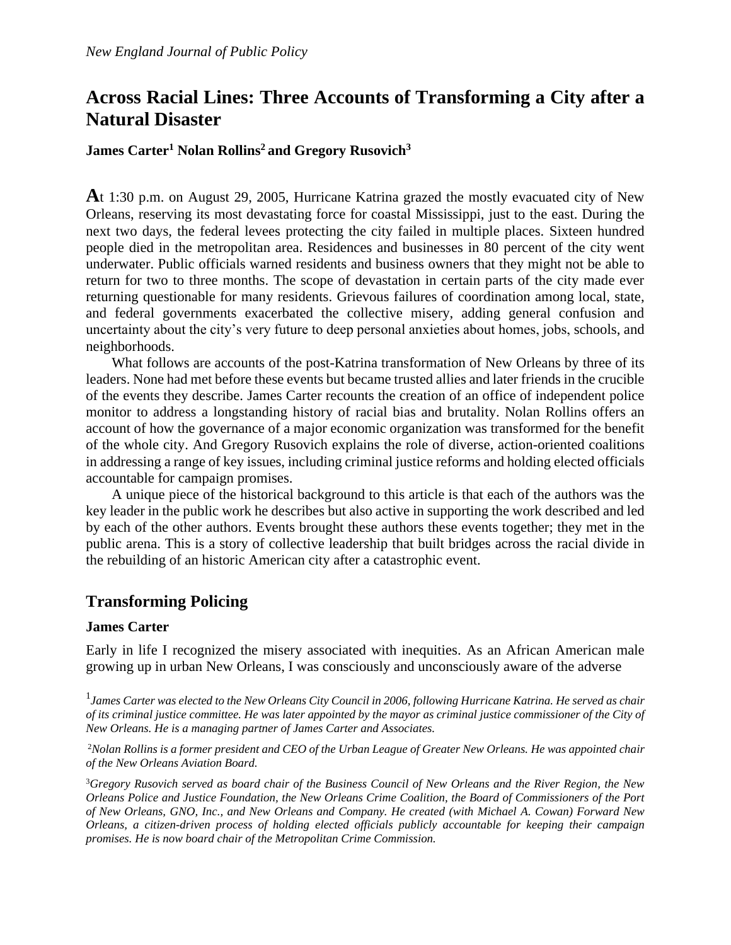## **Across Racial Lines: Three Accounts of Transforming a City after a Natural Disaster**

#### **James Carter <sup>1</sup> Nolan Rollins<sup>2</sup> and Gregory Rusovich<sup>3</sup>**

**A**t 1:30 p.m. on August 29, 2005, Hurricane Katrina grazed the mostly evacuated city of New Orleans, reserving its most devastating force for coastal Mississippi, just to the east. During the next two days, the federal levees protecting the city failed in multiple places. Sixteen hundred people died in the metropolitan area. Residences and businesses in 80 percent of the city went underwater. Public officials warned residents and business owners that they might not be able to return for two to three months. The scope of devastation in certain parts of the city made ever returning questionable for many residents. Grievous failures of coordination among local, state, and federal governments exacerbated the collective misery, adding general confusion and uncertainty about the city's very future to deep personal anxieties about homes, jobs, schools, and neighborhoods.

What follows are accounts of the post-Katrina transformation of New Orleans by three of its leaders. None had met before these events but became trusted allies and later friends in the crucible of the events they describe. James Carter recounts the creation of an office of independent police monitor to address a longstanding history of racial bias and brutality. Nolan Rollins offers an account of how the governance of a major economic organization was transformed for the benefit of the whole city. And Gregory Rusovich explains the role of diverse, action-oriented coalitions in addressing a range of key issues, including criminal justice reforms and holding elected officials accountable for campaign promises.

A unique piece of the historical background to this article is that each of the authors was the key leader in the public work he describes but also active in supporting the work described and led by each of the other authors. Events brought these authors these events together; they met in the public arena. This is a story of collective leadership that built bridges across the racial divide in the rebuilding of an historic American city after a catastrophic event.

### **Transforming Policing**

#### **James Carter**

Early in life I recognized the misery associated with inequities. As an African American male growing up in urban New Orleans, I was consciously and unconsciously aware of the adverse

<sup>1</sup> James Carter was elected to the New Orleans City Council in 2006, following Hurricane Katrina. He served as chair *of its criminal justice committee. He was later appointed by the mayor as criminal justice commissioner of the City of New Orleans. He is a managing partner of James Carter and Associates.*

<sup>2</sup>*Nolan Rollins is a former president and CEO of the Urban League of Greater New Orleans. He was appointed chair of the New Orleans Aviation Board.* 

<sup>3</sup>*Gregory Rusovich served as board chair of the Business Council of New Orleans and the River Region, the New Orleans Police and Justice Foundation, the New Orleans Crime Coalition, the Board of Commissioners of the Port of New Orleans, GNO, Inc., and New Orleans and Company. He created (with Michael A. Cowan) Forward New Orleans, a citizen-driven process of holding elected officials publicly accountable for keeping their campaign promises. He is now board chair of the Metropolitan Crime Commission.*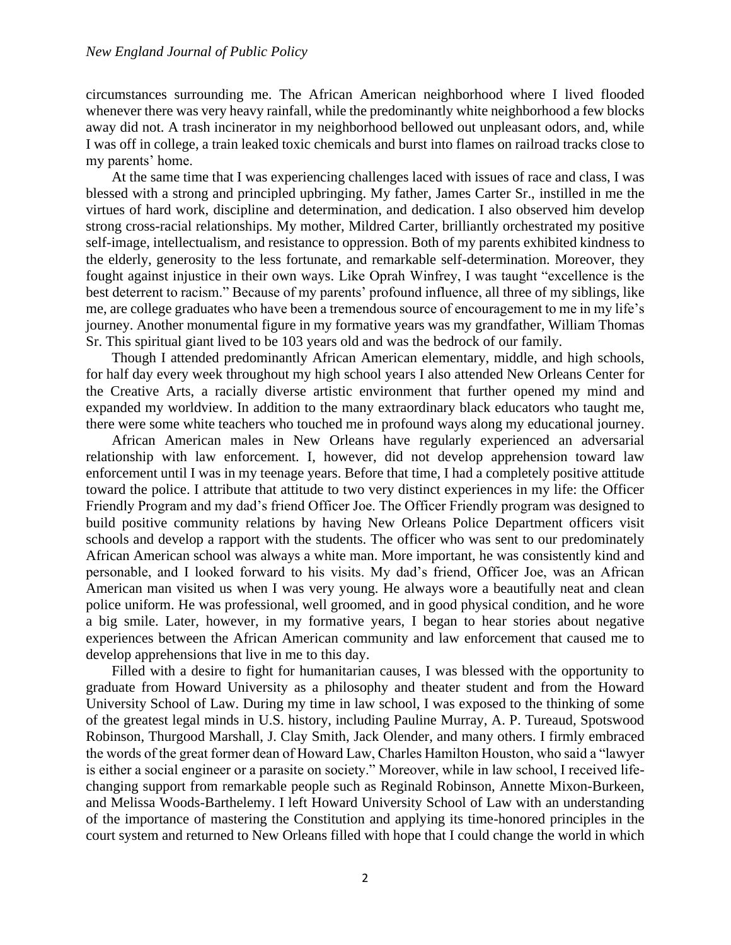circumstances surrounding me. The African American neighborhood where I lived flooded whenever there was very heavy rainfall, while the predominantly white neighborhood a few blocks away did not. A trash incinerator in my neighborhood bellowed out unpleasant odors, and, while I was off in college, a train leaked toxic chemicals and burst into flames on railroad tracks close to my parents' home.

At the same time that I was experiencing challenges laced with issues of race and class, I was blessed with a strong and principled upbringing. My father, James Carter Sr., instilled in me the virtues of hard work, discipline and determination, and dedication. I also observed him develop strong cross-racial relationships. My mother, Mildred Carter, brilliantly orchestrated my positive self-image, intellectualism, and resistance to oppression. Both of my parents exhibited kindness to the elderly, generosity to the less fortunate, and remarkable self-determination. Moreover, they fought against injustice in their own ways. Like Oprah Winfrey, I was taught "excellence is the best deterrent to racism." Because of my parents' profound influence, all three of my siblings, like me, are college graduates who have been a tremendous source of encouragement to me in my life's journey. Another monumental figure in my formative years was my grandfather, William Thomas Sr. This spiritual giant lived to be 103 years old and was the bedrock of our family.

Though I attended predominantly African American elementary, middle, and high schools, for half day every week throughout my high school years I also attended New Orleans Center for the Creative Arts, a racially diverse artistic environment that further opened my mind and expanded my worldview. In addition to the many extraordinary black educators who taught me, there were some white teachers who touched me in profound ways along my educational journey.

African American males in New Orleans have regularly experienced an adversarial relationship with law enforcement. I, however, did not develop apprehension toward law enforcement until I was in my teenage years. Before that time, I had a completely positive attitude toward the police. I attribute that attitude to two very distinct experiences in my life: the Officer Friendly Program and my dad's friend Officer Joe. The Officer Friendly program was designed to build positive community relations by having New Orleans Police Department officers visit schools and develop a rapport with the students. The officer who was sent to our predominately African American school was always a white man. More important, he was consistently kind and personable, and I looked forward to his visits. My dad's friend, Officer Joe, was an African American man visited us when I was very young. He always wore a beautifully neat and clean police uniform. He was professional, well groomed, and in good physical condition, and he wore a big smile. Later, however, in my formative years, I began to hear stories about negative experiences between the African American community and law enforcement that caused me to develop apprehensions that live in me to this day.

Filled with a desire to fight for humanitarian causes, I was blessed with the opportunity to graduate from Howard University as a philosophy and theater student and from the Howard University School of Law. During my time in law school, I was exposed to the thinking of some of the greatest legal minds in U.S. history, including Pauline Murray, A. P. Tureaud, Spotswood Robinson, Thurgood Marshall, J. Clay Smith, Jack Olender, and many others. I firmly embraced the words of the great former dean of Howard Law, Charles Hamilton Houston, who said a "lawyer is either a social engineer or a parasite on society." Moreover, while in law school, I received lifechanging support from remarkable people such as Reginald Robinson, Annette Mixon-Burkeen, and Melissa Woods-Barthelemy. I left Howard University School of Law with an understanding of the importance of mastering the Constitution and applying its time-honored principles in the court system and returned to New Orleans filled with hope that I could change the world in which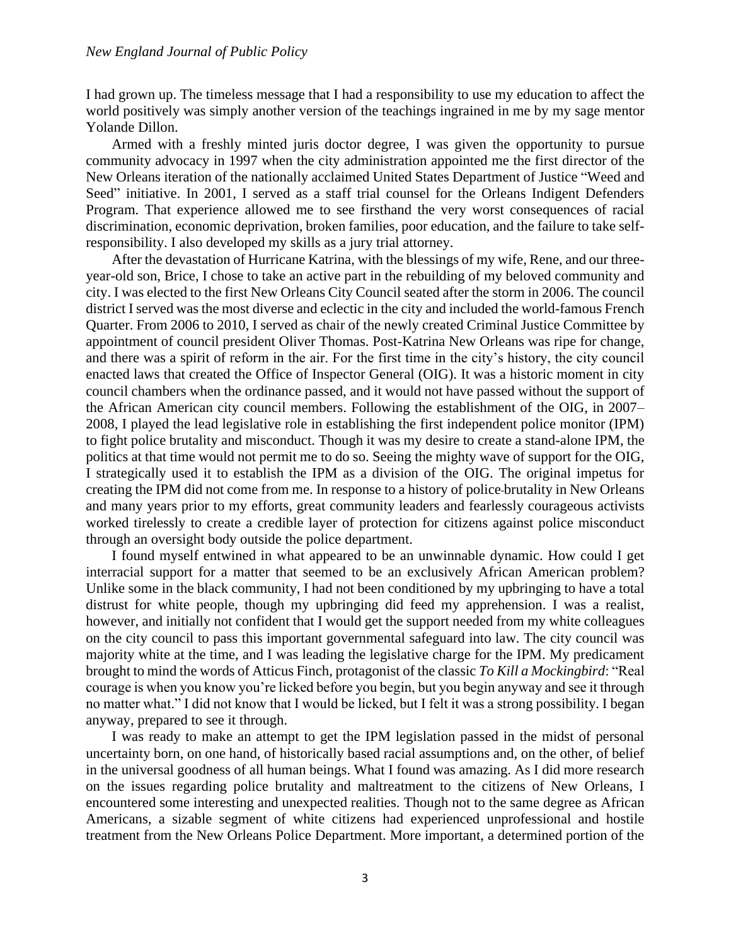I had grown up. The timeless message that I had a responsibility to use my education to affect the world positively was simply another version of the teachings ingrained in me by my sage mentor Yolande Dillon.

Armed with a freshly minted juris doctor degree, I was given the opportunity to pursue community advocacy in 1997 when the city administration appointed me the first director of the New Orleans iteration of the nationally acclaimed United States Department of Justice "Weed and Seed" initiative. In 2001, I served as a staff trial counsel for the Orleans Indigent Defenders Program. That experience allowed me to see firsthand the very worst consequences of racial discrimination, economic deprivation, broken families, poor education, and the failure to take selfresponsibility. I also developed my skills as a jury trial attorney.

After the devastation of Hurricane Katrina, with the blessings of my wife, Rene, and our threeyear-old son, Brice, I chose to take an active part in the rebuilding of my beloved community and city. I was elected to the first New Orleans City Council seated after the storm in 2006. The council district I served was the most diverse and eclectic in the city and included the world-famous French Quarter. From 2006 to 2010, I served as chair of the newly created Criminal Justice Committee by appointment of council president Oliver Thomas. Post-Katrina New Orleans was ripe for change, and there was a spirit of reform in the air. For the first time in the city's history, the city council enacted laws that created the Office of Inspector General (OIG). It was a historic moment in city council chambers when the ordinance passed, and it would not have passed without the support of the African American city council members. Following the establishment of the OIG, in 2007– 2008, I played the lead legislative role in establishing the first independent police monitor (IPM) to fight police brutality and misconduct. Though it was my desire to create a stand-alone IPM, the politics at that time would not permit me to do so. Seeing the mighty wave of support for the OIG, I strategically used it to establish the IPM as a division of the OIG. The original impetus for creating the IPM did not come from me. In response to a history of police brutality in New Orleans and many years prior to my efforts, great community leaders and fearlessly courageous activists worked tirelessly to create a credible layer of protection for citizens against police misconduct through an oversight body outside the police department.

I found myself entwined in what appeared to be an unwinnable dynamic. How could I get interracial support for a matter that seemed to be an exclusively African American problem? Unlike some in the black community, I had not been conditioned by my upbringing to have a total distrust for white people, though my upbringing did feed my apprehension. I was a realist, however, and initially not confident that I would get the support needed from my white colleagues on the city council to pass this important governmental safeguard into law. The city council was majority white at the time, and I was leading the legislative charge for the IPM. My predicament brought to mind the words of Atticus Finch, protagonist of the classic *To Kill a Mockingbird*: "Real courage is when you know you're licked before you begin, but you begin anyway and see it through no matter what." I did not know that I would be licked, but I felt it was a strong possibility. I began anyway, prepared to see it through.

I was ready to make an attempt to get the IPM legislation passed in the midst of personal uncertainty born, on one hand, of historically based racial assumptions and, on the other, of belief in the universal goodness of all human beings. What I found was amazing. As I did more research on the issues regarding police brutality and maltreatment to the citizens of New Orleans, I encountered some interesting and unexpected realities. Though not to the same degree as African Americans, a sizable segment of white citizens had experienced unprofessional and hostile treatment from the New Orleans Police Department. More important, a determined portion of the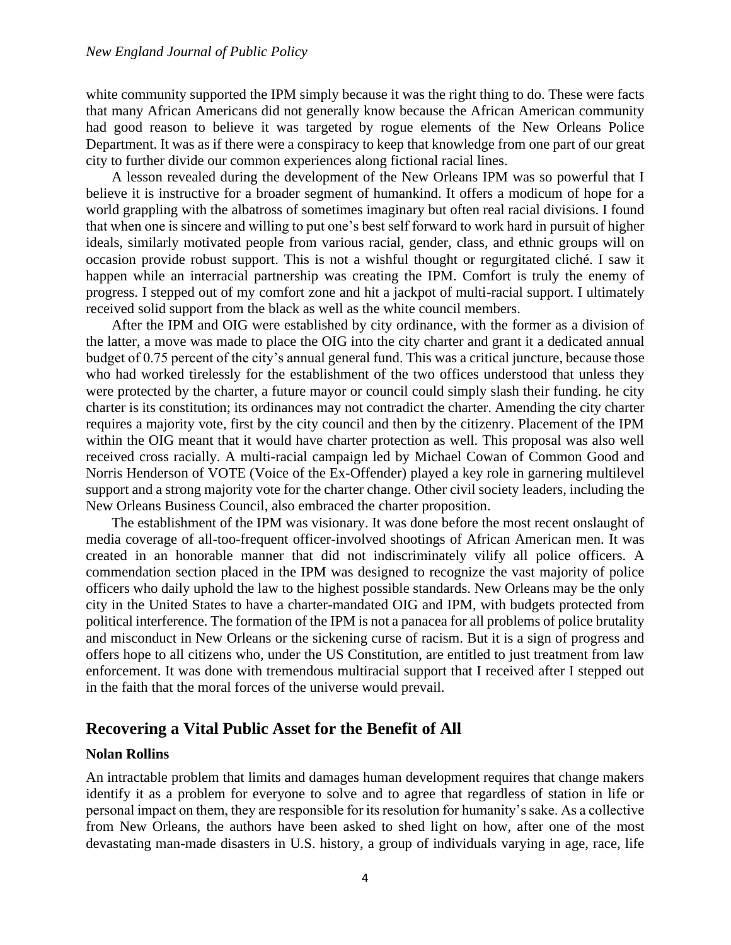white community supported the IPM simply because it was the right thing to do. These were facts that many African Americans did not generally know because the African American community had good reason to believe it was targeted by rogue elements of the New Orleans Police Department. It was as if there were a conspiracy to keep that knowledge from one part of our great city to further divide our common experiences along fictional racial lines.

A lesson revealed during the development of the New Orleans IPM was so powerful that I believe it is instructive for a broader segment of humankind. It offers a modicum of hope for a world grappling with the albatross of sometimes imaginary but often real racial divisions. I found that when one is sincere and willing to put one's best self forward to work hard in pursuit of higher ideals, similarly motivated people from various racial, gender, class, and ethnic groups will on occasion provide robust support. This is not a wishful thought or regurgitated cliché. I saw it happen while an interracial partnership was creating the IPM. Comfort is truly the enemy of progress. I stepped out of my comfort zone and hit a jackpot of multi-racial support. I ultimately received solid support from the black as well as the white council members.

After the IPM and OIG were established by city ordinance, with the former as a division of the latter, a move was made to place the OIG into the city charter and grant it a dedicated annual budget of 0.75 percent of the city's annual general fund. This was a critical juncture, because those who had worked tirelessly for the establishment of the two offices understood that unless they were protected by the charter, a future mayor or council could simply slash their funding. he city charter is its constitution; its ordinances may not contradict the charter. Amending the city charter requires a majority vote, first by the city council and then by the citizenry. Placement of the IPM within the OIG meant that it would have charter protection as well. This proposal was also well received cross racially. A multi-racial campaign led by Michael Cowan of Common Good and Norris Henderson of VOTE (Voice of the Ex-Offender) played a key role in garnering multilevel support and a strong majority vote for the charter change. Other civil society leaders, including the New Orleans Business Council, also embraced the charter proposition.

The establishment of the IPM was visionary. It was done before the most recent onslaught of media coverage of all-too-frequent officer-involved shootings of African American men. It was created in an honorable manner that did not indiscriminately vilify all police officers. A commendation section placed in the IPM was designed to recognize the vast majority of police officers who daily uphold the law to the highest possible standards. New Orleans may be the only city in the United States to have a charter-mandated OIG and IPM, with budgets protected from political interference. The formation of the IPM is not a panacea for all problems of police brutality and misconduct in New Orleans or the sickening curse of racism. But it is a sign of progress and offers hope to all citizens who, under the US Constitution, are entitled to just treatment from law enforcement. It was done with tremendous multiracial support that I received after I stepped out in the faith that the moral forces of the universe would prevail.

#### **Recovering a Vital Public Asset for the Benefit of All**

#### **Nolan Rollins**

An intractable problem that limits and damages human development requires that change makers identify it as a problem for everyone to solve and to agree that regardless of station in life or personal impact on them, they are responsible for its resolution for humanity's sake. As a collective from New Orleans, the authors have been asked to shed light on how, after one of the most devastating man-made disasters in U.S. history, a group of individuals varying in age, race, life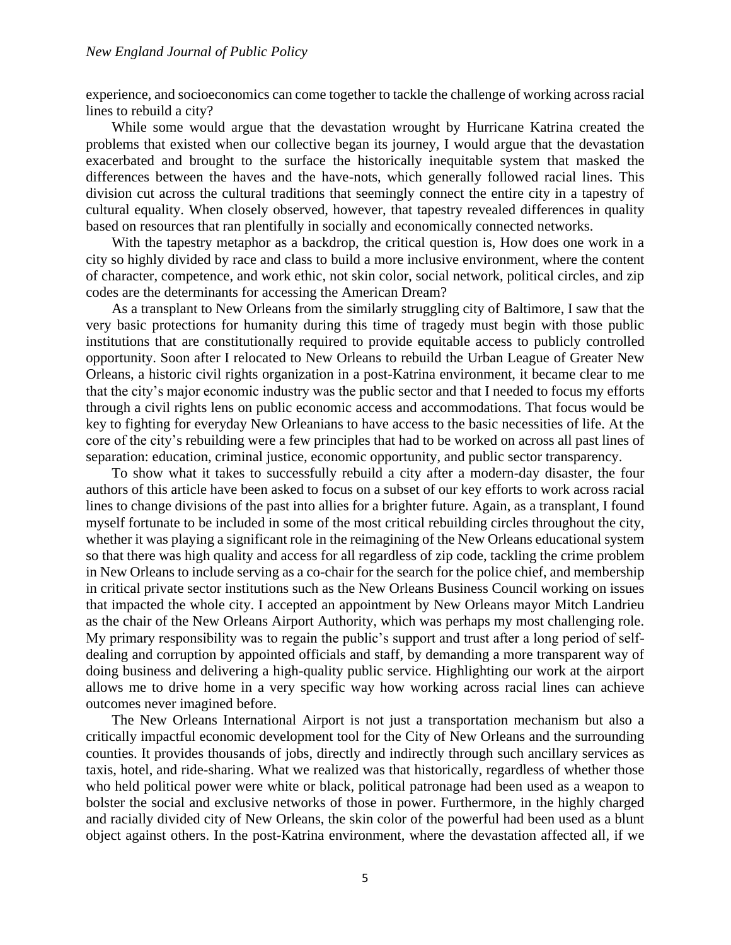experience, and socioeconomics can come together to tackle the challenge of working across racial lines to rebuild a city?

While some would argue that the devastation wrought by Hurricane Katrina created the problems that existed when our collective began its journey, I would argue that the devastation exacerbated and brought to the surface the historically inequitable system that masked the differences between the haves and the have-nots, which generally followed racial lines. This division cut across the cultural traditions that seemingly connect the entire city in a tapestry of cultural equality. When closely observed, however, that tapestry revealed differences in quality based on resources that ran plentifully in socially and economically connected networks.

With the tapestry metaphor as a backdrop, the critical question is, How does one work in a city so highly divided by race and class to build a more inclusive environment, where the content of character, competence, and work ethic, not skin color, social network, political circles, and zip codes are the determinants for accessing the American Dream?

As a transplant to New Orleans from the similarly struggling city of Baltimore, I saw that the very basic protections for humanity during this time of tragedy must begin with those public institutions that are constitutionally required to provide equitable access to publicly controlled opportunity. Soon after I relocated to New Orleans to rebuild the Urban League of Greater New Orleans, a historic civil rights organization in a post-Katrina environment, it became clear to me that the city's major economic industry was the public sector and that I needed to focus my efforts through a civil rights lens on public economic access and accommodations. That focus would be key to fighting for everyday New Orleanians to have access to the basic necessities of life. At the core of the city's rebuilding were a few principles that had to be worked on across all past lines of separation: education, criminal justice, economic opportunity, and public sector transparency.

To show what it takes to successfully rebuild a city after a modern-day disaster, the four authors of this article have been asked to focus on a subset of our key efforts to work across racial lines to change divisions of the past into allies for a brighter future. Again, as a transplant, I found myself fortunate to be included in some of the most critical rebuilding circles throughout the city, whether it was playing a significant role in the reimagining of the New Orleans educational system so that there was high quality and access for all regardless of zip code, tackling the crime problem in New Orleans to include serving as a co-chair for the search for the police chief, and membership in critical private sector institutions such as the New Orleans Business Council working on issues that impacted the whole city. I accepted an appointment by New Orleans mayor Mitch Landrieu as the chair of the New Orleans Airport Authority, which was perhaps my most challenging role. My primary responsibility was to regain the public's support and trust after a long period of selfdealing and corruption by appointed officials and staff, by demanding a more transparent way of doing business and delivering a high-quality public service. Highlighting our work at the airport allows me to drive home in a very specific way how working across racial lines can achieve outcomes never imagined before.

The New Orleans International Airport is not just a transportation mechanism but also a critically impactful economic development tool for the City of New Orleans and the surrounding counties. It provides thousands of jobs, directly and indirectly through such ancillary services as taxis, hotel, and ride-sharing. What we realized was that historically, regardless of whether those who held political power were white or black, political patronage had been used as a weapon to bolster the social and exclusive networks of those in power. Furthermore, in the highly charged and racially divided city of New Orleans, the skin color of the powerful had been used as a blunt object against others. In the post-Katrina environment, where the devastation affected all, if we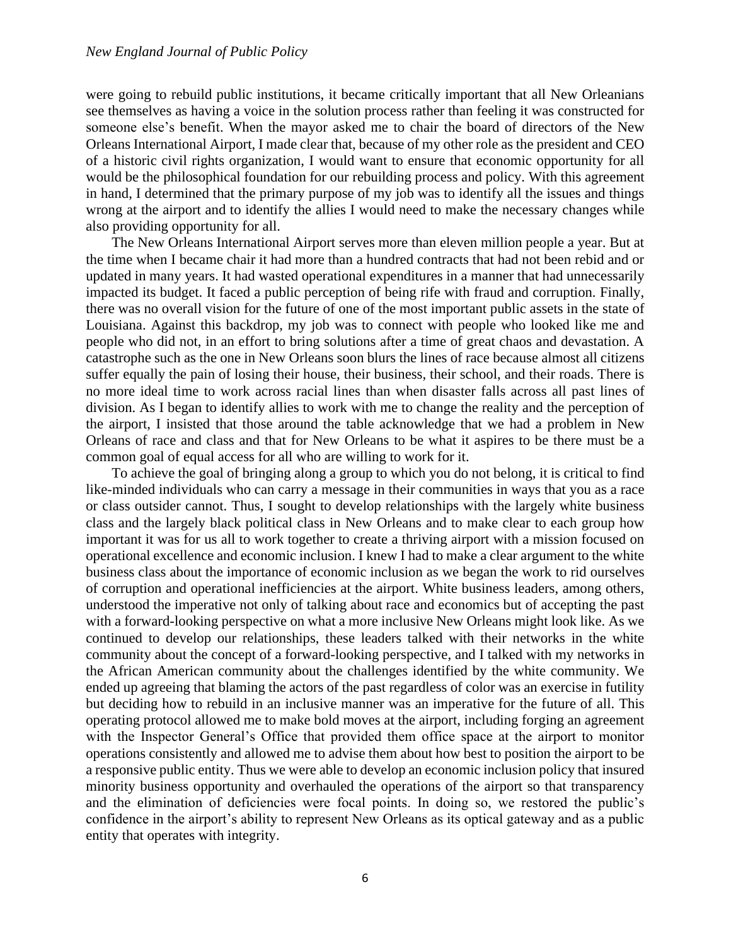were going to rebuild public institutions, it became critically important that all New Orleanians see themselves as having a voice in the solution process rather than feeling it was constructed for someone else's benefit. When the mayor asked me to chair the board of directors of the New Orleans International Airport, I made clear that, because of my other role as the president and CEO of a historic civil rights organization, I would want to ensure that economic opportunity for all would be the philosophical foundation for our rebuilding process and policy. With this agreement in hand, I determined that the primary purpose of my job was to identify all the issues and things wrong at the airport and to identify the allies I would need to make the necessary changes while also providing opportunity for all.

The New Orleans International Airport serves more than eleven million people a year. But at the time when I became chair it had more than a hundred contracts that had not been rebid and or updated in many years. It had wasted operational expenditures in a manner that had unnecessarily impacted its budget. It faced a public perception of being rife with fraud and corruption. Finally, there was no overall vision for the future of one of the most important public assets in the state of Louisiana. Against this backdrop, my job was to connect with people who looked like me and people who did not, in an effort to bring solutions after a time of great chaos and devastation. A catastrophe such as the one in New Orleans soon blurs the lines of race because almost all citizens suffer equally the pain of losing their house, their business, their school, and their roads. There is no more ideal time to work across racial lines than when disaster falls across all past lines of division. As I began to identify allies to work with me to change the reality and the perception of the airport, I insisted that those around the table acknowledge that we had a problem in New Orleans of race and class and that for New Orleans to be what it aspires to be there must be a common goal of equal access for all who are willing to work for it.

To achieve the goal of bringing along a group to which you do not belong, it is critical to find like-minded individuals who can carry a message in their communities in ways that you as a race or class outsider cannot. Thus, I sought to develop relationships with the largely white business class and the largely black political class in New Orleans and to make clear to each group how important it was for us all to work together to create a thriving airport with a mission focused on operational excellence and economic inclusion. I knew I had to make a clear argument to the white business class about the importance of economic inclusion as we began the work to rid ourselves of corruption and operational inefficiencies at the airport. White business leaders, among others, understood the imperative not only of talking about race and economics but of accepting the past with a forward-looking perspective on what a more inclusive New Orleans might look like. As we continued to develop our relationships, these leaders talked with their networks in the white community about the concept of a forward-looking perspective, and I talked with my networks in the African American community about the challenges identified by the white community. We ended up agreeing that blaming the actors of the past regardless of color was an exercise in futility but deciding how to rebuild in an inclusive manner was an imperative for the future of all. This operating protocol allowed me to make bold moves at the airport, including forging an agreement with the Inspector General's Office that provided them office space at the airport to monitor operations consistently and allowed me to advise them about how best to position the airport to be a responsive public entity. Thus we were able to develop an economic inclusion policy that insured minority business opportunity and overhauled the operations of the airport so that transparency and the elimination of deficiencies were focal points. In doing so, we restored the public's confidence in the airport's ability to represent New Orleans as its optical gateway and as a public entity that operates with integrity.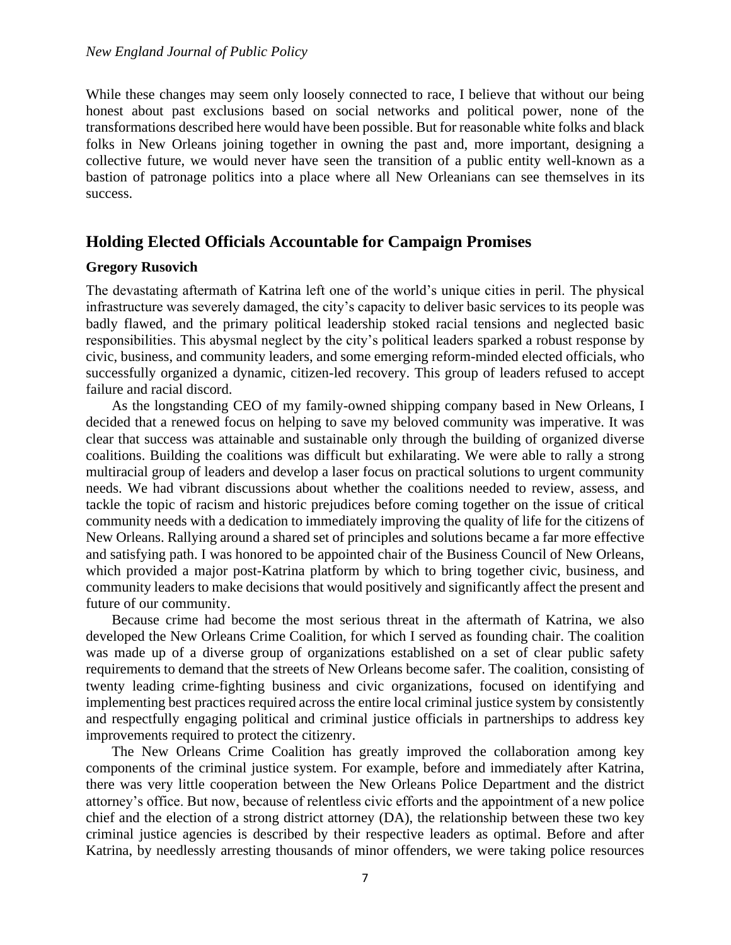While these changes may seem only loosely connected to race, I believe that without our being honest about past exclusions based on social networks and political power, none of the transformations described here would have been possible. But for reasonable white folks and black folks in New Orleans joining together in owning the past and, more important, designing a collective future, we would never have seen the transition of a public entity well-known as a bastion of patronage politics into a place where all New Orleanians can see themselves in its success.

#### **Holding Elected Officials Accountable for Campaign Promises**

#### **Gregory Rusovich**

The devastating aftermath of Katrina left one of the world's unique cities in peril. The physical infrastructure was severely damaged, the city's capacity to deliver basic services to its people was badly flawed, and the primary political leadership stoked racial tensions and neglected basic responsibilities. This abysmal neglect by the city's political leaders sparked a robust response by civic, business, and community leaders, and some emerging reform-minded elected officials, who successfully organized a dynamic, citizen-led recovery. This group of leaders refused to accept failure and racial discord.

As the longstanding CEO of my family-owned shipping company based in New Orleans, I decided that a renewed focus on helping to save my beloved community was imperative. It was clear that success was attainable and sustainable only through the building of organized diverse coalitions. Building the coalitions was difficult but exhilarating. We were able to rally a strong multiracial group of leaders and develop a laser focus on practical solutions to urgent community needs. We had vibrant discussions about whether the coalitions needed to review, assess, and tackle the topic of racism and historic prejudices before coming together on the issue of critical community needs with a dedication to immediately improving the quality of life for the citizens of New Orleans. Rallying around a shared set of principles and solutions became a far more effective and satisfying path. I was honored to be appointed chair of the Business Council of New Orleans, which provided a major post-Katrina platform by which to bring together civic, business, and community leaders to make decisions that would positively and significantly affect the present and future of our community.

Because crime had become the most serious threat in the aftermath of Katrina, we also developed the New Orleans Crime Coalition, for which I served as founding chair. The coalition was made up of a diverse group of organizations established on a set of clear public safety requirements to demand that the streets of New Orleans become safer. The coalition, consisting of twenty leading crime-fighting business and civic organizations, focused on identifying and implementing best practices required across the entire local criminal justice system by consistently and respectfully engaging political and criminal justice officials in partnerships to address key improvements required to protect the citizenry.

The New Orleans Crime Coalition has greatly improved the collaboration among key components of the criminal justice system. For example, before and immediately after Katrina, there was very little cooperation between the New Orleans Police Department and the district attorney's office. But now, because of relentless civic efforts and the appointment of a new police chief and the election of a strong district attorney (DA), the relationship between these two key criminal justice agencies is described by their respective leaders as optimal. Before and after Katrina, by needlessly arresting thousands of minor offenders, we were taking police resources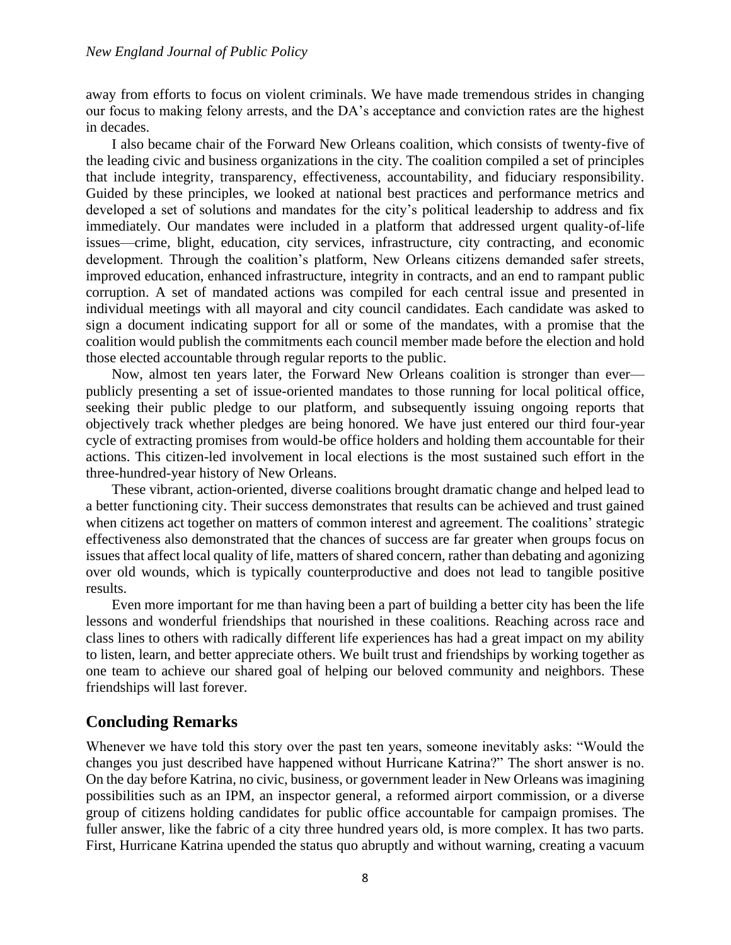away from efforts to focus on violent criminals. We have made tremendous strides in changing our focus to making felony arrests, and the DA's acceptance and conviction rates are the highest in decades.

I also became chair of the Forward New Orleans coalition, which consists of twenty-five of the leading civic and business organizations in the city. The coalition compiled a set of principles that include integrity, transparency, effectiveness, accountability, and fiduciary responsibility. Guided by these principles, we looked at national best practices and performance metrics and developed a set of solutions and mandates for the city's political leadership to address and fix immediately. Our mandates were included in a platform that addressed urgent quality-of-life issues—crime, blight, education, city services, infrastructure, city contracting, and economic development. Through the coalition's platform, New Orleans citizens demanded safer streets, improved education, enhanced infrastructure, integrity in contracts, and an end to rampant public corruption. A set of mandated actions was compiled for each central issue and presented in individual meetings with all mayoral and city council candidates. Each candidate was asked to sign a document indicating support for all or some of the mandates, with a promise that the coalition would publish the commitments each council member made before the election and hold those elected accountable through regular reports to the public.

Now, almost ten years later, the Forward New Orleans coalition is stronger than ever publicly presenting a set of issue-oriented mandates to those running for local political office, seeking their public pledge to our platform, and subsequently issuing ongoing reports that objectively track whether pledges are being honored. We have just entered our third four-year cycle of extracting promises from would-be office holders and holding them accountable for their actions. This citizen-led involvement in local elections is the most sustained such effort in the three-hundred-year history of New Orleans.

These vibrant, action-oriented, diverse coalitions brought dramatic change and helped lead to a better functioning city. Their success demonstrates that results can be achieved and trust gained when citizens act together on matters of common interest and agreement. The coalitions' strategic effectiveness also demonstrated that the chances of success are far greater when groups focus on issues that affect local quality of life, matters of shared concern, rather than debating and agonizing over old wounds, which is typically counterproductive and does not lead to tangible positive results.

Even more important for me than having been a part of building a better city has been the life lessons and wonderful friendships that nourished in these coalitions. Reaching across race and class lines to others with radically different life experiences has had a great impact on my ability to listen, learn, and better appreciate others. We built trust and friendships by working together as one team to achieve our shared goal of helping our beloved community and neighbors. These friendships will last forever.

#### **Concluding Remarks**

Whenever we have told this story over the past ten years, someone inevitably asks: "Would the changes you just described have happened without Hurricane Katrina?" The short answer is no. On the day before Katrina, no civic, business, or government leader in New Orleans was imagining possibilities such as an IPM, an inspector general, a reformed airport commission, or a diverse group of citizens holding candidates for public office accountable for campaign promises. The fuller answer, like the fabric of a city three hundred years old, is more complex. It has two parts. First, Hurricane Katrina upended the status quo abruptly and without warning, creating a vacuum